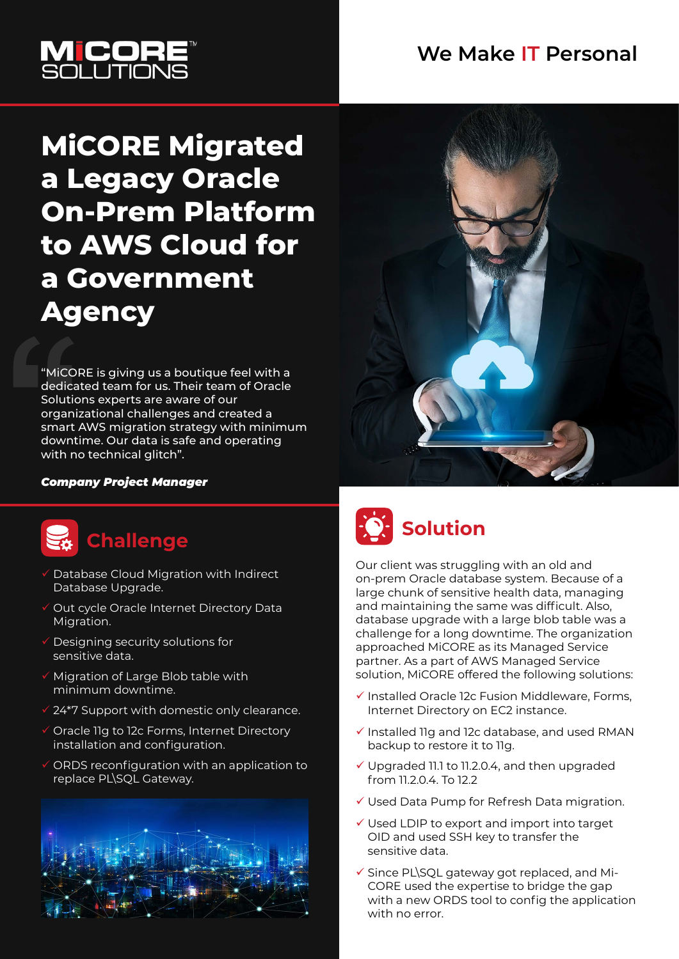#### **We Make IT Personal**



# **MiCORE Migrated a Legacy Oracle On-Prem Platform to AWS Cloud for a Government Agency**

"MiCORE is giving us a boutique feel with a dedicated team for us. Their team of Oracle Solutions experts are aware of our organizational challenges and created a smart AWS migration strategy with minimum downtime. Our data is safe and operating with no technical glitch".

#### *Company Project Manager*



#### **Challenge**

- Database Cloud Migration with Indirect Database Upgrade.
- Out cycle Oracle Internet Directory Data Migration.
- $\checkmark$  Designing security solutions for sensitive data.
- $\checkmark$  Migration of Large Blob table with minimum downtime.
- 24\*7 Support with domestic only clearance.
- Oracle 11g to 12c Forms, Internet Directory installation and configuration.
- ORDS reconfiguration with an application to replace PL\SQL Gateway.







Our client was struggling with an old and on-prem Oracle database system. Because of a large chunk of sensitive health data, managing and maintaining the same was difficult. Also, database upgrade with a large blob table was a challenge for a long downtime. The organization approached MiCORE as its Managed Service partner. As a part of AWS Managed Service solution, MiCORE offered the following solutions:

- $\checkmark$  Installed Oracle 12c Fusion Middleware, Forms, Internet Directory on EC2 instance.
- $\checkmark$  Installed 11g and 12c database, and used RMAN backup to restore it to 11g.
- Upgraded 11.1 to 11.2.0.4, and then upgraded from 11.2.0.4. To 12.2
- Used Data Pump for Refresh Data migration.
- Used LDIP to export and import into target OID and used SSH key to transfer the sensitive data.
- $\checkmark$  Since PL\SQL gateway got replaced, and Mi-CORE used the expertise to bridge the gap with a new ORDS tool to config the application with no error.